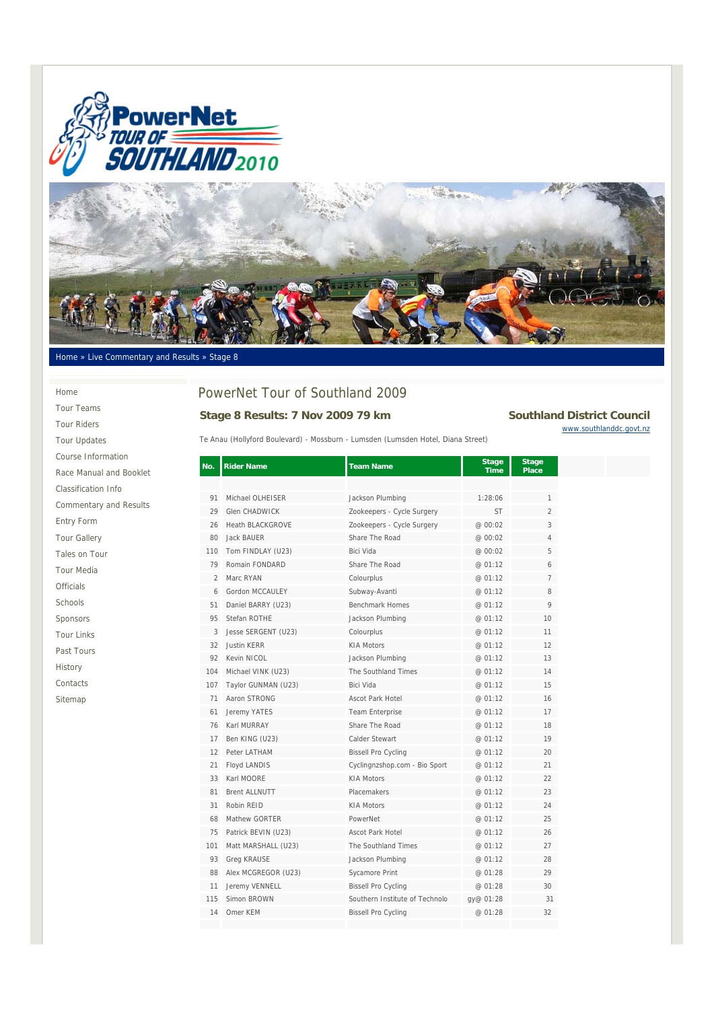



### Home » Live Commentary and Results » Stage 8

#### Home

Tour Teams Tour Riders Tour Updates Course Information Race Manual and Booklet Classification Info Commentary and Results Entry Form Tour Gallery Tales on Tour Tour Media Officials Schools Sponsors Tour Links Past Tours History Contacts Sitemap

# PowerNet Tour of Southland 2009

# Stage 8 Results: 7 Nov 2009 79 km Southland District Council

Te Anau (Hollyford Boulevard) - Mossburn - Lumsden (Lumsden Hotel, Diana Street)

www.southlanddc.govt.nz

| No.            | <b>Rider Name</b>       | <b>Team Name</b>               | <b>Stage</b><br><b>Time</b> | <b>Stage</b><br><b>Place</b> |
|----------------|-------------------------|--------------------------------|-----------------------------|------------------------------|
|                |                         |                                |                             |                              |
| 91             | Michael OLHEISER        | Jackson Plumbing               | 1:28:06                     | 1                            |
| 29             | <b>Glen CHADWICK</b>    | Zookeepers - Cycle Surgery     | <b>ST</b>                   | $\overline{2}$               |
| 26             | <b>Heath BLACKGROVE</b> | Zookeepers - Cycle Surgery     | @ 00:02                     | 3                            |
| 80             | <b>Jack BAUER</b>       | Share The Road                 | @ 00:02                     | 4                            |
| 110            | Tom FINDLAY (U23)       | Bici Vida                      | @ 00:02                     | 5                            |
| 79             | Romain FONDARD          | Share The Road                 | @ 01:12                     | 6                            |
| $\mathfrak{D}$ | Marc RYAN               | Colourplus                     | @ 01:12                     | $7^{\circ}$                  |
| 6              | Gordon MCCAULEY         | Subway-Avanti                  | @ 01:12                     | 8                            |
| 51             | Daniel BARRY (U23)      | <b>Benchmark Homes</b>         | @ 01:12                     | 9                            |
| 95             | Stefan ROTHE            | Jackson Plumbing               | @ 01:12                     | 10                           |
| 3              | Jesse SERGENT (U23)     | Colourplus                     | @ 01:12                     | 11                           |
| 32             | <b>Justin KERR</b>      | <b>KIA Motors</b>              | @ 01:12                     | 12                           |
| 92             | Kevin NICOL             | Jackson Plumbing               | @ 01:12                     | 13                           |
| 104            | Michael VINK (U23)      | The Southland Times            | @ 01:12                     | 14                           |
| 107            | Taylor GUNMAN (U23)     | Bici Vida                      | @ 01:12                     | 15                           |
| 71             | Aaron STRONG            | <b>Ascot Park Hotel</b>        | @ 01:12                     | 16                           |
| 61             | Jeremy YATES            | <b>Team Enterprise</b>         | @ 01:12                     | 17                           |
| 76             | Karl MURRAY             | Share The Road                 | @ 01:12                     | 18                           |
| 17             | Ben KING (U23)          | Calder Stewart                 | @ 01:12                     | 19                           |
| 12             | Peter LATHAM            | <b>Bissell Pro Cycling</b>     | @ 01:12                     | 20                           |
| 21             | Floyd LANDIS            | Cyclingnzshop.com - Bio Sport  | @ 01:12                     | 21                           |
| 33             | Karl MOORE              | <b>KIA Motors</b>              | @ 01:12                     | 22                           |
| 81             | <b>Brent ALLNUTT</b>    | Placemakers                    | @ 01:12                     | 23                           |
| 31             | Robin REID              | <b>KIA Motors</b>              | @ 01:12                     | 24                           |
| 68             | Mathew GORTER           | PowerNet                       | @ 01:12                     | 25                           |
| 75             | Patrick BEVIN (U23)     | <b>Ascot Park Hotel</b>        | @ 01:12                     | 26                           |
| 101            | Matt MARSHALL (U23)     | The Southland Times            | @ 01:12                     | 27                           |
| 93             | Greg KRAUSE             | Jackson Plumbing               | @ 01:12                     | 28                           |
| 88             | Alex MCGREGOR (U23)     | Sycamore Print                 | @ 01:28                     | 29                           |
| 11             | Jeremy VENNELL          | <b>Bissell Pro Cycling</b>     | @ 01:28                     | 30                           |
| 115            | Simon BROWN             | Southern Institute of Technolo | gy@ 01:28                   | 31                           |
| 14             | Omer KEM                | <b>Bissell Pro Cycling</b>     | @ 01:28                     | 32                           |
|                |                         |                                |                             |                              |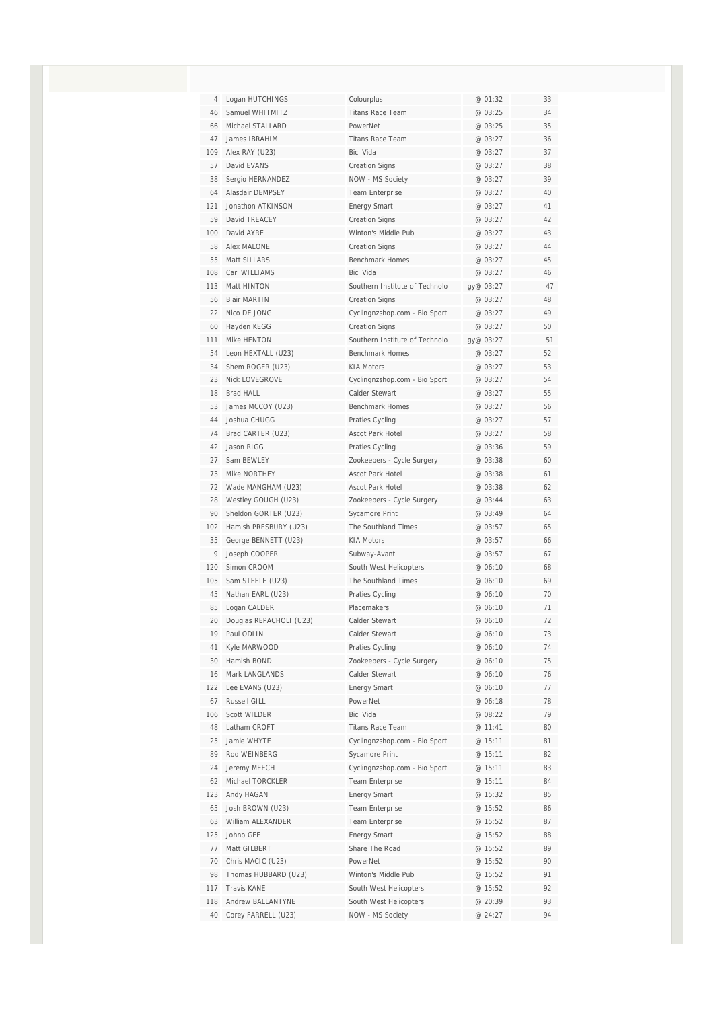| 4   | Logan HUTCHINGS         | Colourplus                     | @ 01:32   | 33 |
|-----|-------------------------|--------------------------------|-----------|----|
| 46  | Samuel WHITMITZ         | <b>Titans Race Team</b>        | @ 03:25   | 34 |
| 66  | Michael STALLARD        | PowerNet                       | @ 03:25   | 35 |
| 47  | James IBRAHIM           | <b>Titans Race Team</b>        | @ 03:27   | 36 |
| 109 | Alex RAY (U23)          | Bici Vida                      | @ 03:27   | 37 |
| 57  | David EVANS             | <b>Creation Signs</b>          | @ 03:27   | 38 |
| 38  | Sergio HERNANDEZ        | NOW - MS Society               | @ 03:27   | 39 |
| 64  | Alasdair DEMPSEY        | Team Enterprise                | @ 03:27   | 40 |
| 121 | Jonathon ATKINSON       | <b>Energy Smart</b>            | @ 03:27   | 41 |
| 59  | David TREACEY           | <b>Creation Signs</b>          | @ 03:27   | 42 |
| 100 | David AYRE              | Winton's Middle Pub            | @ 03:27   | 43 |
| 58  | Alex MALONE             | <b>Creation Signs</b>          | @ 03:27   | 44 |
| 55  | Matt SILLARS            | Benchmark Homes                | @ 03:27   | 45 |
| 108 | Carl WILLIAMS           | Bici Vida                      | @ 03:27   | 46 |
| 113 | Matt HINTON             | Southern Institute of Technolo | gy@ 03:27 | 47 |
| 56  | <b>Blair MARTIN</b>     | <b>Creation Signs</b>          | @ 03:27   | 48 |
| 22  | Nico DE JONG            | Cyclingnzshop.com - Bio Sport  | @ 03:27   | 49 |
| 60  | Hayden KEGG             | <b>Creation Signs</b>          | @ 03:27   | 50 |
| 111 | Mike HENTON             | Southern Institute of Technolo | gy@ 03:27 | 51 |
| 54  | Leon HEXTALL (U23)      | <b>Benchmark Homes</b>         | @ 03:27   | 52 |
| 34  | Shem ROGER (U23)        | <b>KIA Motors</b>              | @ 03:27   | 53 |
| 23  | <b>Nick LOVEGROVE</b>   | Cyclingnzshop.com - Bio Sport  | @ 03:27   | 54 |
| 18  | <b>Brad HALL</b>        | Calder Stewart                 | @03:27    | 55 |
| 53  | James MCCOY (U23)       | <b>Benchmark Homes</b>         | @ 03:27   | 56 |
| 44  | Joshua CHUGG            | Praties Cycling                | @ 03:27   | 57 |
| 74  | Brad CARTER (U23)       | Ascot Park Hotel               | @ 03:27   | 58 |
| 42  | Jason RIGG              | Praties Cycling                | @ 03:36   | 59 |
| 27  | Sam BEWLEY              | Zookeepers - Cycle Surgery     | @ 03:38   | 60 |
| 73  | Mike NORTHEY            | <b>Ascot Park Hotel</b>        | @ 03:38   | 61 |
| 72  | Wade MANGHAM (U23)      | Ascot Park Hotel               | @ 03:38   | 62 |
| 28  | Westley GOUGH (U23)     | Zookeepers - Cycle Surgery     | @ 03:44   | 63 |
| 90  | Sheldon GORTER (U23)    | Sycamore Print                 | @ 03:49   | 64 |
| 102 | Hamish PRESBURY (U23)   | The Southland Times            | @ 03:57   | 65 |
| 35  | George BENNETT (U23)    | <b>KIA Motors</b>              | @ 03:57   | 66 |
| 9   | Joseph COOPER           | Subway-Avanti                  | @ 03:57   | 67 |
| 120 | Simon CROOM             | South West Helicopters         | @ 06:10   | 68 |
| 105 | Sam STEELE (U23)        | The Southland Times            | @ 06:10   | 69 |
| 45  | Nathan EARL (U23)       | Praties Cycling                | @ 06:10   | 70 |
| 85  | Logan CALDER            | Placemakers                    | @ 06:10   | 71 |
| 20  | Douglas REPACHOLI (U23) | Calder Stewart                 | @ 06:10   | 72 |
| 19  | Paul ODLIN              | Calder Stewart                 | @ 06:10   | 73 |
| 41  | Kyle MARWOOD            | Praties Cycling                | @ 06:10   | 74 |
| 30  | Hamish BOND             | Zookeepers - Cycle Surgery     | @ 06:10   | 75 |
| 16  | Mark LANGLANDS          | Calder Stewart                 | @ 06:10   | 76 |
| 122 | Lee EVANS (U23)         | <b>Energy Smart</b>            | @ 06:10   | 77 |
| 67  | Russell GILL            | PowerNet                       | @ 06:18   | 78 |
| 106 | Scott WILDER            | Bici Vida                      | @ 08:22   | 79 |
| 48  | Latham CROFT            | Titans Race Team               | @ 11:41   | 80 |
| 25  | Jamie WHYTE             | Cyclingnzshop.com - Bio Sport  | @ 15:11   | 81 |
| 89  | Rod WEINBERG            | Sycamore Print                 | @ 15:11   | 82 |
| 24  | Jeremy MEECH            | Cyclingnzshop.com - Bio Sport  | @ 15:11   | 83 |
| 62  | Michael TORCKLER        | Team Enterprise                | @ 15:11   | 84 |
| 123 | Andy HAGAN              | <b>Energy Smart</b>            | @ 15:32   | 85 |
| 65  | Josh BROWN (U23)        | Team Enterprise                | @ 15:52   | 86 |
| 63  | William ALEXANDER       | Team Enterprise                | @ 15:52   | 87 |
| 125 | Johno GEE               | <b>Energy Smart</b>            | @ 15:52   | 88 |
| 77  | Matt GILBERT            | Share The Road                 | @ 15:52   | 89 |
| 70  | Chris MACIC (U23)       | PowerNet                       | @ 15:52   | 90 |
| 98  | Thomas HUBBARD (U23)    | Winton's Middle Pub            | @ 15:52   | 91 |
| 117 | <b>Travis KANE</b>      | South West Helicopters         | @ 15:52   | 92 |
| 118 | Andrew BALLANTYNE       | South West Helicopters         | @ 20:39   | 93 |
| 40  | Corey FARRELL (U23)     | NOW - MS Society               | @ 24:27   | 94 |
|     |                         |                                |           |    |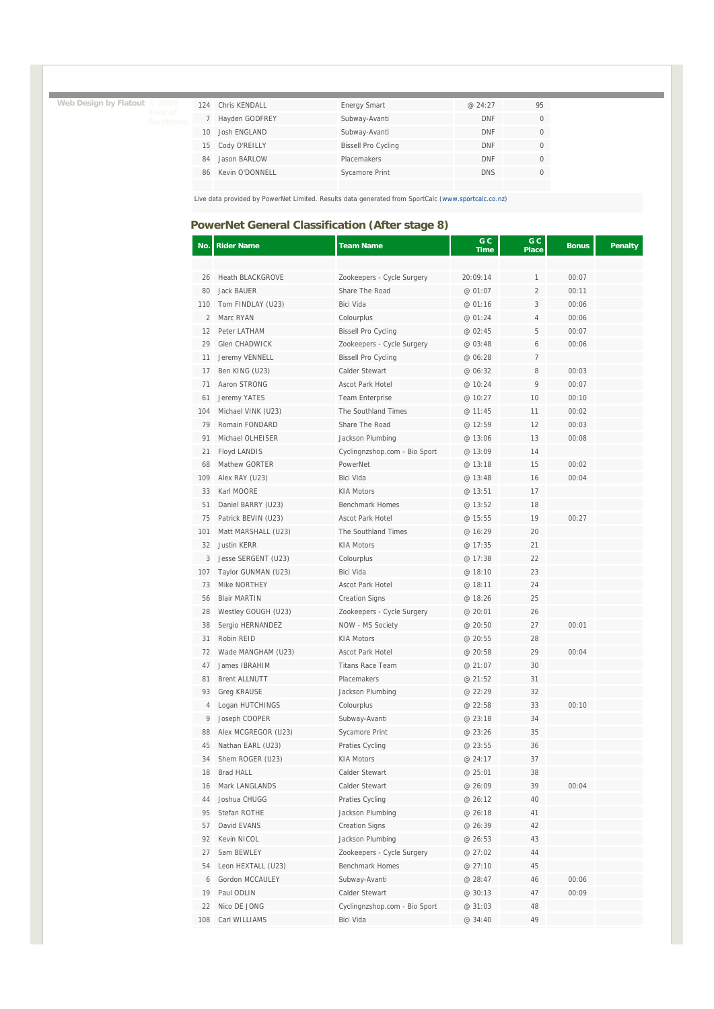**Web Design by Flatout © 2009** 

| 124 | Chris KFNDALL   | <b>Energy Smart</b>        | @24:27     | 95 |
|-----|-----------------|----------------------------|------------|----|
|     | Hayden GODFREY  | Subway-Avanti              | <b>DNF</b> |    |
| 10  | Josh ENGLAND    | Subway-Avanti              | <b>DNF</b> |    |
| 15. | Cody O'REILLY   | <b>Bissell Pro Cycling</b> | <b>DNF</b> |    |
| 84  | Jason BARLOW    | Placemakers                | <b>DNF</b> |    |
| 86  | Kevin O'DONNELL | Sycamore Print             | <b>DNS</b> |    |

Live data provided by PowerNet Limited. Results data generated from SportCalc (www.sportcalc.co.nz)

### **PowerNet General Classification (After stage 8)**

| No. | <b>Rider Name</b>       | <b>Team Name</b>              | G C<br>Time | G C<br><b>Place</b> | <b>Bonus</b> | <b>Penalty</b> |
|-----|-------------------------|-------------------------------|-------------|---------------------|--------------|----------------|
|     |                         |                               |             |                     |              |                |
| 26  | <b>Heath BLACKGROVE</b> | Zookeepers - Cycle Surgery    | 20:09:14    | 1                   | 00:07        |                |
| 80  | Jack BAUER              | Share The Road                | @ 01:07     | 2                   | 00:11        |                |
| 110 | Tom FINDLAY (U23)       | Bici Vida                     | @ 01:16     | 3                   | 00:06        |                |
| 2   | Marc RYAN               | Colourplus                    | @ 01:24     | 4                   | 00:06        |                |
| 12  | Peter LATHAM            | <b>Bissell Pro Cycling</b>    | @ 02:45     | 5                   | 00:07        |                |
| 29  | Glen CHADWICK           | Zookeepers - Cycle Surgery    | @ 03:48     | 6                   | 00:06        |                |
| 11  | Jeremy VENNELL          | <b>Bissell Pro Cycling</b>    | @ 06:28     | 7                   |              |                |
| 17  | Ben KING (U23)          | Calder Stewart                | @ 06:32     | 8                   | 00:03        |                |
| 71  | Aaron STRONG            | Ascot Park Hotel              | @ 10:24     | 9                   | 00:07        |                |
| 61  | Jeremy YATES            | <b>Team Enterprise</b>        | @ 10:27     | 10                  | 00:10        |                |
| 104 | Michael VINK (U23)      | The Southland Times           | @ 11:45     | 11                  | 00:02        |                |
| 79  | Romain FONDARD          | Share The Road                | @ 12:59     | 12                  | 00:03        |                |
| 91  | Michael OLHEISER        | Jackson Plumbing              | @ 13:06     | 13                  | 00:08        |                |
| 21  | Floyd LANDIS            | Cyclingnzshop.com - Bio Sport | @ 13:09     | 14                  |              |                |
| 68  | Mathew GORTER           | PowerNet                      | @ 13:18     | 15                  | 00:02        |                |
| 109 | Alex RAY (U23)          | Bici Vida                     | @ 13:48     | 16                  | 00:04        |                |
| 33  | Karl MOORE              | <b>KIA Motors</b>             | @ 13:51     | 17                  |              |                |
| 51  | Daniel BARRY (U23)      | <b>Benchmark Homes</b>        | @ 13:52     | 18                  |              |                |
| 75  | Patrick BEVIN (U23)     | Ascot Park Hotel              | @ 15:55     | 19                  | 00:27        |                |
| 101 | Matt MARSHALL (U23)     | The Southland Times           | @ 16:29     | 20                  |              |                |
| 32  | <b>Justin KERR</b>      | KIA Motors                    | @ 17:35     | 21                  |              |                |
| 3   | Jesse SERGENT (U23)     | Colourplus                    | @ 17:38     | 22                  |              |                |
| 107 | Taylor GUNMAN (U23)     | Bici Vida                     | @ 18:10     | 23                  |              |                |
| 73  | Mike NORTHEY            | Ascot Park Hotel              | @ 18:11     | 24                  |              |                |
| 56  | <b>Blair MARTIN</b>     | <b>Creation Signs</b>         | @ 18:26     | 25                  |              |                |
| 28  | Westley GOUGH (U23)     | Zookeepers - Cycle Surgery    | @ 20:01     | 26                  |              |                |
| 38  | Sergio HERNANDEZ        | NOW - MS Society              | @ 20:50     | 27                  | 00:01        |                |
| 31  | Robin REID              | <b>KIA Motors</b>             | @ 20:55     | 28                  |              |                |
| 72  | Wade MANGHAM (U23)      | Ascot Park Hotel              | @ 20:58     | 29                  | 00:04        |                |
| 47  | James IBRAHIM           | <b>Titans Race Team</b>       | @ 21:07     | 30                  |              |                |
| 81  | <b>Brent ALLNUTT</b>    | Placemakers                   | @ 21:52     | 31                  |              |                |
| 93  | <b>Greg KRAUSE</b>      | Jackson Plumbing              | @ 22:29     | 32                  |              |                |
| 4   | Logan HUTCHINGS         | Colourplus                    | @ 22:58     | 33                  | 00:10        |                |
| 9   | Joseph COOPER           | Subway-Avanti                 | @ 23:18     | 34                  |              |                |
| 88  | Alex MCGREGOR (U23)     | Sycamore Print                | @ 23:26     | 35                  |              |                |
| 45  | Nathan EARL (U23)       | Praties Cycling               | @ 23:55     | 36                  |              |                |
| 34  | Shem ROGER (U23)        | <b>KIA Motors</b>             | @ 24:17     | 37                  |              |                |
| 18  | Brad HALL               | Calder Stewart                | @ 25:01     | 38                  |              |                |
| 16  | Mark LANGLANDS          | Calder Stewart                | @ 26:09     | 39                  | 00:04        |                |
| 44  | Joshua CHUGG            | Praties Cycling               | @ 26:12     | 40                  |              |                |
| 95  | Stefan ROTHE            | Jackson Plumbing              | @ 26:18     | 41                  |              |                |
| 57  | David EVANS             | <b>Creation Signs</b>         | @ 26:39     | 42                  |              |                |
| 92  | Kevin NICOL             | Jackson Plumbing              | @ 26:53     | 43                  |              |                |
| 27  | Sam BEWLEY              | Zookeepers - Cycle Surgery    | @ 27:02     | 44                  |              |                |
| 54  | Leon HEXTALL (U23)      | <b>Benchmark Homes</b>        | @ 27:10     | 45                  |              |                |
| 6   | Gordon MCCAULEY         | Subway-Avanti                 | @ 28:47     | 46                  | 00:06        |                |
| 19  | Paul ODLIN              | Calder Stewart                | @ 30:13     | 47                  | 00:09        |                |
| 22  | Nico DE JONG            | Cyclingnzshop.com - Bio Sport | @ 31:03     | 48                  |              |                |
| 108 | Carl WILLIAMS           | Bici Vida                     | @ 34:40     | 49                  |              |                |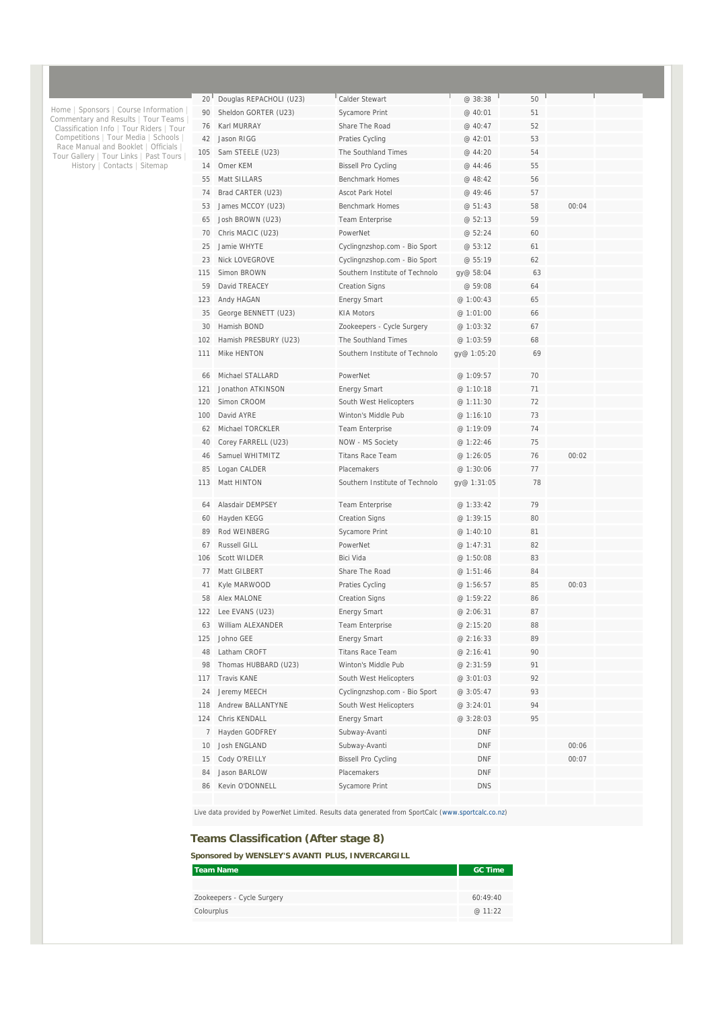| 20 <sup>1</sup> | Douglas REPACHOLI (U23) | Calder Stewart                 | @ 38:38     | 50 |       |  |
|-----------------|-------------------------|--------------------------------|-------------|----|-------|--|
| 90              | Sheldon GORTER (U23)    | Sycamore Print                 | @ 40:01     | 51 |       |  |
| 76              | Karl MURRAY             | Share The Road                 | @ 40:47     | 52 |       |  |
| 42              | Jason RIGG              | Praties Cycling                | @ 42:01     | 53 |       |  |
| 105             | Sam STEELE (U23)        | The Southland Times            | @ 44:20     | 54 |       |  |
| 14              | Omer KEM                | <b>Bissell Pro Cycling</b>     | @ 44:46     | 55 |       |  |
| 55              | Matt SILLARS            | <b>Benchmark Homes</b>         | @ 48:42     | 56 |       |  |
| 74              | Brad CARTER (U23)       | <b>Ascot Park Hotel</b>        | @ 49:46     | 57 |       |  |
| 53              | James MCCOY (U23)       | <b>Benchmark Homes</b>         | @ 51:43     | 58 | 00:04 |  |
| 65              | Josh BROWN (U23)        | <b>Team Enterprise</b>         | @ 52:13     | 59 |       |  |
| 70              | Chris MACIC (U23)       | PowerNet                       | @ 52:24     | 60 |       |  |
| 25              | Jamie WHYTE             | Cyclingnzshop.com - Bio Sport  | @ 53:12     | 61 |       |  |
| 23              | <b>Nick LOVEGROVE</b>   | Cyclingnzshop.com - Bio Sport  | @ 55:19     | 62 |       |  |
| 115             | Simon BROWN             | Southern Institute of Technolo | gy@ 58:04   | 63 |       |  |
| 59              | David TREACEY           | <b>Creation Signs</b>          | @ 59:08     | 64 |       |  |
| 123             | Andy HAGAN              | <b>Energy Smart</b>            | @ 1:00:43   | 65 |       |  |
| 35              | George BENNETT (U23)    | <b>KIA Motors</b>              | @ 1:01:00   | 66 |       |  |
| 30              | Hamish BOND             | Zookeepers - Cycle Surgery     | @ 1:03:32   | 67 |       |  |
| 102             | Hamish PRESBURY (U23)   | The Southland Times            | @ 1:03:59   | 68 |       |  |
| 111             | Mike HENTON             | Southern Institute of Technolo | gy@ 1:05:20 | 69 |       |  |
| 66              | Michael STALLARD        | PowerNet                       | @ 1:09:57   | 70 |       |  |
| 121             | Jonathon ATKINSON       | <b>Energy Smart</b>            | @ 1:10:18   | 71 |       |  |
| 120             | Simon CROOM             | South West Helicopters         | @ 1:11:30   | 72 |       |  |
| 100             | David AYRE              | Winton's Middle Pub            | @1:16:10    | 73 |       |  |
| 62              | Michael TORCKLER        | Team Enterprise                | @ 1:19:09   | 74 |       |  |
| 40              | Corey FARRELL (U23)     | NOW - MS Society               | @ 1:22:46   | 75 |       |  |
| 46              | Samuel WHITMITZ         | <b>Titans Race Team</b>        | @ 1:26:05   | 76 | 00:02 |  |
| 85              | Logan CALDER            | Placemakers                    | @ 1:30:06   | 77 |       |  |
| 113             | Matt HINTON             | Southern Institute of Technolo | gy@ 1:31:05 | 78 |       |  |
| 64              | Alasdair DEMPSEY        | <b>Team Enterprise</b>         | @ 1:33:42   | 79 |       |  |
| 60              | Hayden KEGG             | <b>Creation Signs</b>          | @ 1:39:15   | 80 |       |  |
| 89              | Rod WEINBERG            | Sycamore Print                 | @ 1:40:10   | 81 |       |  |
| 67              | Russell GILL            | PowerNet                       | @ 1:47:31   | 82 |       |  |
| 106             | <b>Scott WILDER</b>     | <b>Bici Vida</b>               | @ 1:50:08   | 83 |       |  |
| 77              | Matt GILBERT            | Share The Road                 | @ 1:51:46   | 84 |       |  |
| 41              | Kyle MARWOOD            | Praties Cycling                | @1:56:57    | 85 | 00:03 |  |
| 58              | Alex MALONE             | <b>Creation Signs</b>          | @ 1:59:22   | 86 |       |  |
| 122             | Lee EVANS (U23)         | <b>Energy Smart</b>            | @ 2:06:31   | 87 |       |  |
| 63              | William ALEXANDER       | Team Enterprise                | @ 2:15:20   | 88 |       |  |
| 125             | Johno GEE               | <b>Energy Smart</b>            | @ 2:16:33   | 89 |       |  |
| 48              | Latham CROFT            | <b>Titans Race Team</b>        | @ 2:16:41   | 90 |       |  |
| 98              | Thomas HUBBARD (U23)    | Winton's Middle Pub            | @ 2:31:59   | 91 |       |  |
| 117             | Travis KANE             | South West Helicopters         | @ 3:01:03   | 92 |       |  |
| 24              | Jeremy MEECH            | Cyclingnzshop.com - Bio Sport  | @3:05:47    | 93 |       |  |
| 118             | Andrew BALLANTYNE       | South West Helicopters         | @ 3:24:01   | 94 |       |  |
| 124             | Chris KENDALL           | <b>Energy Smart</b>            | @ 3:28:03   | 95 |       |  |
| $7\phantom{.0}$ | Hayden GODFREY          | Subway-Avanti                  | <b>DNF</b>  |    |       |  |
| 10              | Josh ENGLAND            | Subway-Avanti                  | <b>DNF</b>  |    | 00:06 |  |
| 15              | Cody O'REILLY           | <b>Bissell Pro Cycling</b>     | <b>DNF</b>  |    | 00:07 |  |
| 84              | Jason BARLOW            | Placemakers                    | <b>DNF</b>  |    |       |  |
| 86              | Kevin O'DONNELL         | Sycamore Print                 | <b>DNS</b>  |    |       |  |
|                 |                         |                                |             |    |       |  |

Live data provided by PowerNet Limited. Results data generated from SportCalc (www.sportcalc.co.nz)

### **Teams Classification (After stage 8)**

**Sponsored by WENSLEY'S AVANTI PLUS, INVERCARGILL** 

| <b>Team Name</b>           | <b>GC Time</b> |
|----------------------------|----------------|
|                            |                |
| Zookeepers - Cycle Surgery | 60:49:40       |
| Colourplus                 | @11:22         |
|                            |                |

Home | Sponsors | Course Information |<br>Commentary and Results | Tour Teams |<br>Classification Info | Tour Riders | Tour<br>Competitions | Tour Media | Schools |<br>Race Manual and Booklet | Officials |<br>Tour Gallery | Tour Links |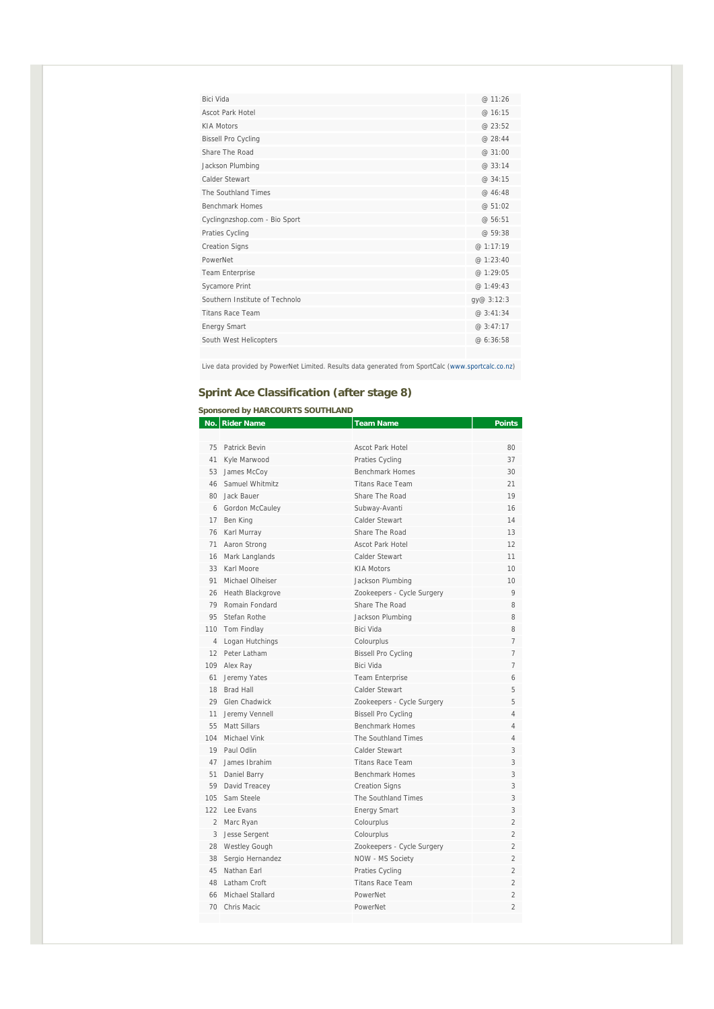| Bici Vida                      | @ 11:26    |
|--------------------------------|------------|
| <b>Ascot Park Hotel</b>        | @ 16:15    |
| <b>KIA Motors</b>              | @ 23:52    |
| <b>Bissell Pro Cycling</b>     | @ 28:44    |
| Share The Road                 | @ 31:00    |
| Jackson Plumbing               | @ 33:14    |
| Calder Stewart                 | @ 34:15    |
| The Southland Times            | @ 46:48    |
| <b>Benchmark Homes</b>         | @ 51:02    |
| Cyclingnzshop.com - Bio Sport  | @ 56:51    |
| Praties Cycling                | @ 59:38    |
| <b>Creation Signs</b>          | @ 1:17:19  |
| PowerNet                       | @ 1:23:40  |
| Team Enterprise                | @ 1:29:05  |
| Sycamore Print                 | @ 1:49:43  |
| Southern Institute of Technolo | gy@ 3:12:3 |
| <b>Titans Race Team</b>        | @ 3:41:34  |
| <b>Energy Smart</b>            | @ 3:47:17  |
| South West Helicopters         | @ 6:36:58  |
|                                |            |

Live data provided by PowerNet Limited. Results data generated from SportCalc (www.sportcalc.co.nz)

## **Sprint Ace Classification (after stage 8)**

#### **Sponsored by HARCOURTS SOUTHLAND**

|     | No.   Rider Name    | <b>Team Name</b>           | <b>Points</b>            |
|-----|---------------------|----------------------------|--------------------------|
|     |                     |                            |                          |
|     | 75 Patrick Bevin    | <b>Ascot Park Hotel</b>    | 80                       |
|     | 41 Kyle Marwood     | Praties Cycling            | 37                       |
|     | 53 James McCoy      | <b>Benchmark Homes</b>     | 30                       |
|     | 46 Samuel Whitmitz  | <b>Titans Race Team</b>    | 21                       |
| 80  | Jack Bauer          | Share The Road             | 19                       |
|     | 6 Gordon McCauley   | Subway-Avanti              | 16                       |
|     | 17 Ben King         | Calder Stewart             | 14                       |
|     | 76 Karl Murray      | Share The Road             | 13                       |
|     | 71 Aaron Strong     | <b>Ascot Park Hotel</b>    | 12                       |
| 16  | Mark Langlands      | Calder Stewart             | 11                       |
|     | 33 Karl Moore       | <b>KIA Motors</b>          | 10                       |
| 91  | Michael Olheiser    | Jackson Plumbing           | 10                       |
|     | 26 Heath Blackgrove | Zookeepers - Cycle Surgery | 9                        |
|     | 79 Romain Fondard   | Share The Road             | 8                        |
|     | 95 Stefan Rothe     | Jackson Plumbing           | 8                        |
|     | 110 Tom Findlay     | Bici Vida                  | 8                        |
|     | 4 Logan Hutchings   | Colourplus                 | $\overline{7}$           |
|     | 12 Peter Latham     | <b>Bissell Pro Cycling</b> | $\overline{7}$           |
|     | 109 Alex Ray        | Bici Vida                  | 7                        |
|     | 61 Jeremy Yates     | <b>Team Enterprise</b>     | 6                        |
|     | 18 Brad Hall        | Calder Stewart             | 5                        |
| 29  | Glen Chadwick       | Zookeepers - Cycle Surgery | 5                        |
| 11  | Jeremy Vennell      | <b>Bissell Pro Cycling</b> | 4                        |
|     | 55 Matt Sillars     | <b>Benchmark Homes</b>     | 4                        |
| 104 | Michael Vink        | The Southland Times        | 4                        |
|     | 19 Paul Odlin       | Calder Stewart             | 3                        |
| 47  | James Ibrahim       | <b>Titans Race Team</b>    | 3                        |
|     | 51 Daniel Barry     | <b>Benchmark Homes</b>     | 3                        |
|     | 59 David Treacey    | <b>Creation Signs</b>      | 3                        |
|     | 105 Sam Steele      | The Southland Times        | 3                        |
|     | 122 Lee Evans       | <b>Energy Smart</b>        | 3                        |
|     | 2 Marc Ryan         | Colourplus                 | $\overline{2}$           |
|     | 3 Jesse Sergent     | Colourplus                 | $\overline{2}$           |
|     | 28 Westley Gough    | Zookeepers - Cycle Surgery | $\overline{2}$           |
|     | 38 Sergio Hernandez | NOW - MS Society           | $\overline{2}$           |
|     | 45 Nathan Earl      | Praties Cycling            | $\overline{2}$           |
|     | 48 Latham Croft     | <b>Titans Race Team</b>    | $\overline{\mathcal{L}}$ |
| 66  | Michael Stallard    | PowerNet                   | $\mathfrak{D}$           |
|     | 70 Chris Macic      | PowerNet                   | $\overline{\mathcal{L}}$ |
|     |                     |                            |                          |